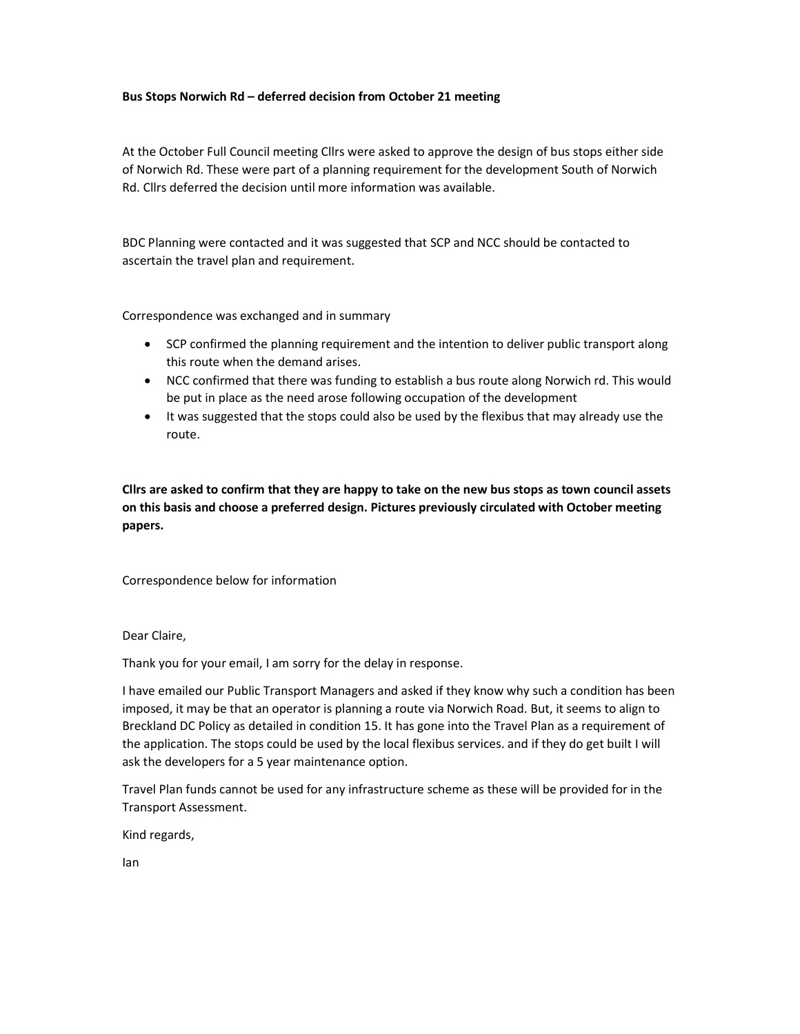## Bus Stops Norwich Rd – deferred decision from October 21 meeting

At the October Full Council meeting Cllrs were asked to approve the design of bus stops either side of Norwich Rd. These were part of a planning requirement for the development South of Norwich Rd. Cllrs deferred the decision until more information was available.

BDC Planning were contacted and it was suggested that SCP and NCC should be contacted to ascertain the travel plan and requirement.

Correspondence was exchanged and in summary

- SCP confirmed the planning requirement and the intention to deliver public transport along this route when the demand arises.
- NCC confirmed that there was funding to establish a bus route along Norwich rd. This would be put in place as the need arose following occupation of the development
- It was suggested that the stops could also be used by the flexibus that may already use the route.

Cllrs are asked to confirm that they are happy to take on the new bus stops as town council assets on this basis and choose a preferred design. Pictures previously circulated with October meeting papers.

Correspondence below for information

Dear Claire,

Thank you for your email, I am sorry for the delay in response.

I have emailed our Public Transport Managers and asked if they know why such a condition has been imposed, it may be that an operator is planning a route via Norwich Road. But, it seems to align to Breckland DC Policy as detailed in condition 15. It has gone into the Travel Plan as a requirement of the application. The stops could be used by the local flexibus services. and if they do get built I will ask the developers for a 5 year maintenance option.

Travel Plan funds cannot be used for any infrastructure scheme as these will be provided for in the Transport Assessment.

Kind regards,

Ian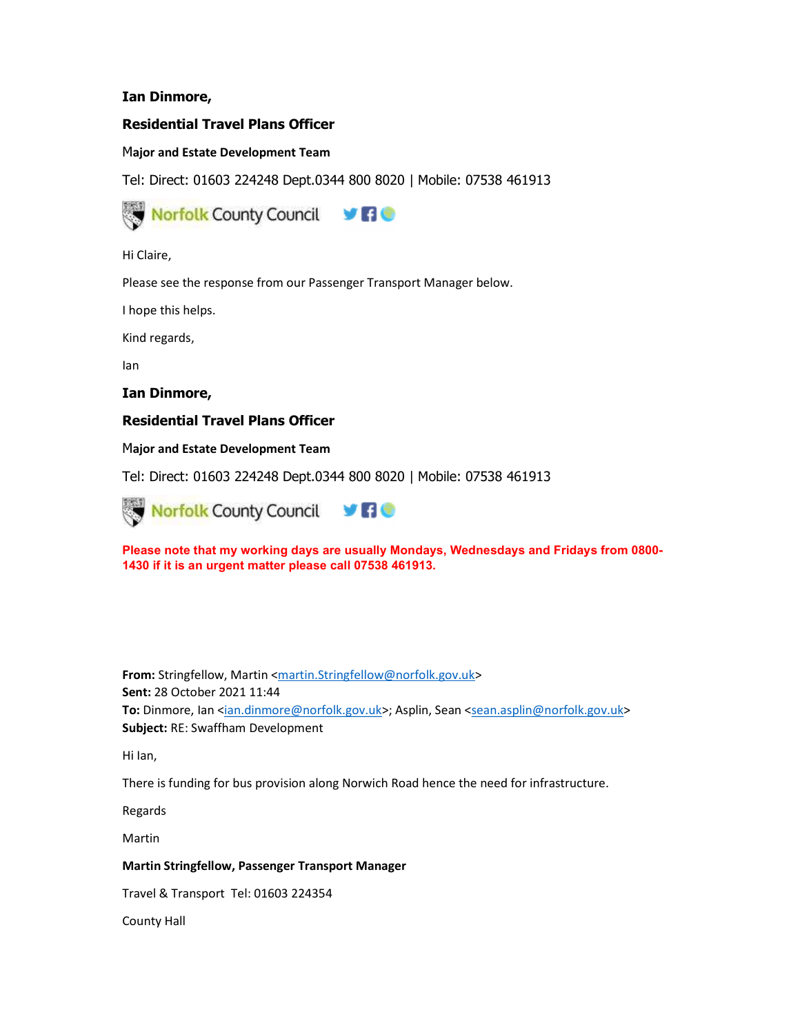# Ian Dinmore,

# Residential Travel Plans Officer

# Major and Estate Development Team

Tel: Direct: 01603 224248 Dept.0344 800 8020 | Mobile: 07538 461913



Hi Claire,

Please see the response from our Passenger Transport Manager below.

I hope this helps.

Kind regards,

Ian

Ian Dinmore,

# Residential Travel Plans Officer

Major and Estate Development Team

Tel: Direct: 01603 224248 Dept.0344 800 8020 | Mobile: 07538 461913



Please note that my working days are usually Mondays, Wednesdays and Fridays from 0800- 1430 if it is an urgent matter please call 07538 461913.

From: Stringfellow, Martin <martin.Stringfellow@norfolk.gov.uk> Sent: 28 October 2021 11:44 To: Dinmore, Ian <ian.dinmore@norfolk.gov.uk>; Asplin, Sean <sean.asplin@norfolk.gov.uk> Subject: RE: Swaffham Development

Hi Ian,

There is funding for bus provision along Norwich Road hence the need for infrastructure.

Regards

Martin

## Martin Stringfellow, Passenger Transport Manager

Travel & Transport Tel: 01603 224354

County Hall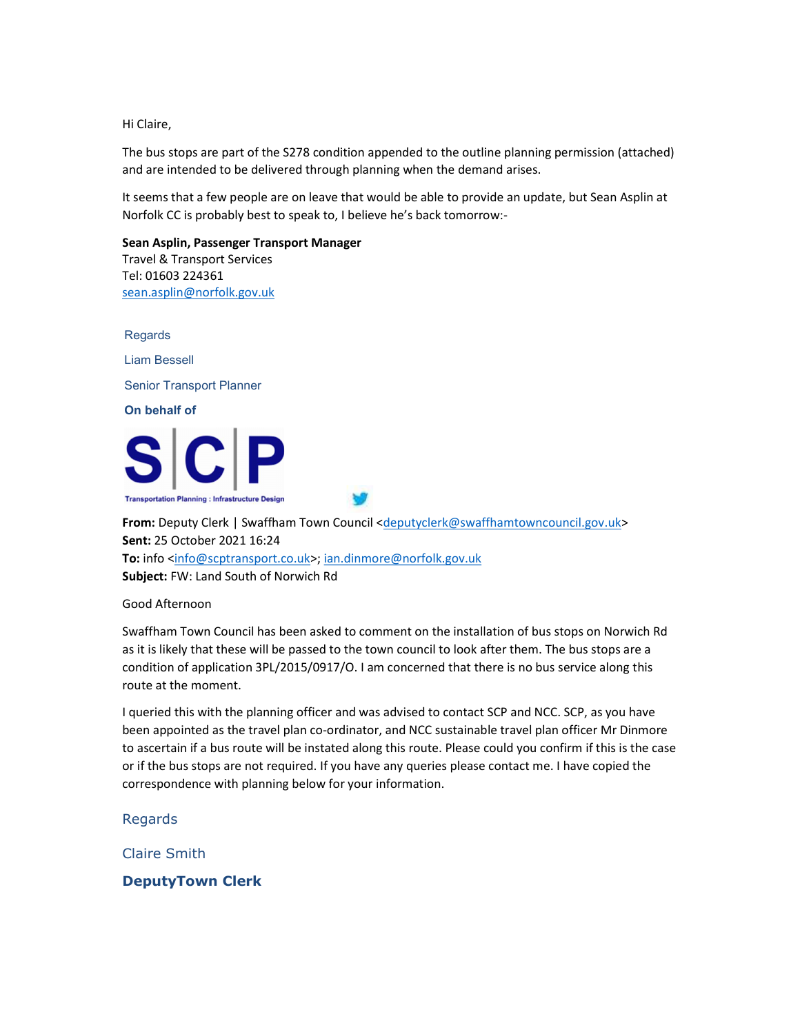Hi Claire,

The bus stops are part of the S278 condition appended to the outline planning permission (attached) and are intended to be delivered through planning when the demand arises.

It seems that a few people are on leave that would be able to provide an update, but Sean Asplin at Norfolk CC is probably best to speak to, I believe he's back tomorrow:-

Sean Asplin, Passenger Transport Manager Travel & Transport Services Tel: 01603 224361 sean.asplin@norfolk.gov.uk

Regards Liam Bessell Senior Transport Planner On behalf of



From: Deputy Clerk | Swaffham Town Council <deputyclerk@swaffhamtowncouncil.gov.uk> Sent: 25 October 2021 16:24 To: info <info@scptransport.co.uk>; ian.dinmore@norfolk.gov.uk Subject: FW: Land South of Norwich Rd

Good Afternoon

Swaffham Town Council has been asked to comment on the installation of bus stops on Norwich Rd as it is likely that these will be passed to the town council to look after them. The bus stops are a condition of application 3PL/2015/0917/O. I am concerned that there is no bus service along this route at the moment.

I queried this with the planning officer and was advised to contact SCP and NCC. SCP, as you have been appointed as the travel plan co-ordinator, and NCC sustainable travel plan officer Mr Dinmore to ascertain if a bus route will be instated along this route. Please could you confirm if this is the case or if the bus stops are not required. If you have any queries please contact me. I have copied the correspondence with planning below for your information.

Regards

Claire Smith

DeputyTown Clerk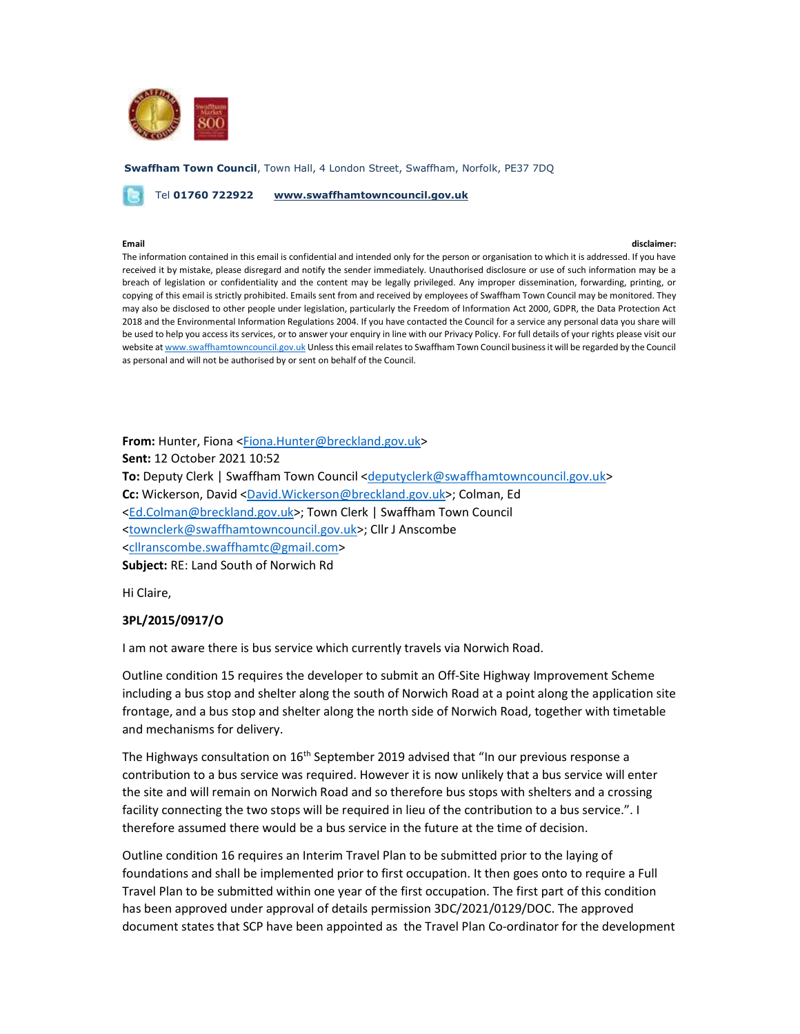

Swaffham Town Council, Town Hall, 4 London Street, Swaffham, Norfolk, PE37 7DQ

Tel 01760 722922 www.swaffhamtowncouncil.gov.uk

### Email disclaimer:

The information contained in this email is confidential and intended only for the person or organisation to which it is addressed. If you have received it by mistake, please disregard and notify the sender immediately. Unauthorised disclosure or use of such information may be a breach of legislation or confidentiality and the content may be legally privileged. Any improper dissemination, forwarding, printing, or copying of this email is strictly prohibited. Emails sent from and received by employees of Swaffham Town Council may be monitored. They may also be disclosed to other people under legislation, particularly the Freedom of Information Act 2000, GDPR, the Data Protection Act 2018 and the Environmental Information Regulations 2004. If you have contacted the Council for a service any personal data you share will be used to help you access its services, or to answer your enquiry in line with our Privacy Policy. For full details of your rights please visit our website at www.swaffhamtowncouncil.gov.uk Unless this email relates to Swaffham Town Council business it will be regarded by the Council as personal and will not be authorised by or sent on behalf of the Council.

From: Hunter, Fiona <Fiona.Hunter@breckland.gov.uk> Sent: 12 October 2021 10:52 To: Deputy Clerk | Swaffham Town Council <deputyclerk@swaffhamtowncouncil.gov.uk> Cc: Wickerson, David <David.Wickerson@breckland.gov.uk>; Colman, Ed <Ed.Colman@breckland.gov.uk>; Town Clerk | Swaffham Town Council <townclerk@swaffhamtowncouncil.gov.uk>; Cllr J Anscombe <cllranscombe.swaffhamtc@gmail.com> Subject: RE: Land South of Norwich Rd

Hi Claire,

## 3PL/2015/0917/O

I am not aware there is bus service which currently travels via Norwich Road.

Outline condition 15 requires the developer to submit an Off-Site Highway Improvement Scheme including a bus stop and shelter along the south of Norwich Road at a point along the application site frontage, and a bus stop and shelter along the north side of Norwich Road, together with timetable and mechanisms for delivery.

The Highways consultation on  $16<sup>th</sup>$  September 2019 advised that "In our previous response a contribution to a bus service was required. However it is now unlikely that a bus service will enter the site and will remain on Norwich Road and so therefore bus stops with shelters and a crossing facility connecting the two stops will be required in lieu of the contribution to a bus service.". I therefore assumed there would be a bus service in the future at the time of decision.

Outline condition 16 requires an Interim Travel Plan to be submitted prior to the laying of foundations and shall be implemented prior to first occupation. It then goes onto to require a Full Travel Plan to be submitted within one year of the first occupation. The first part of this condition has been approved under approval of details permission 3DC/2021/0129/DOC. The approved document states that SCP have been appointed as the Travel Plan Co-ordinator for the development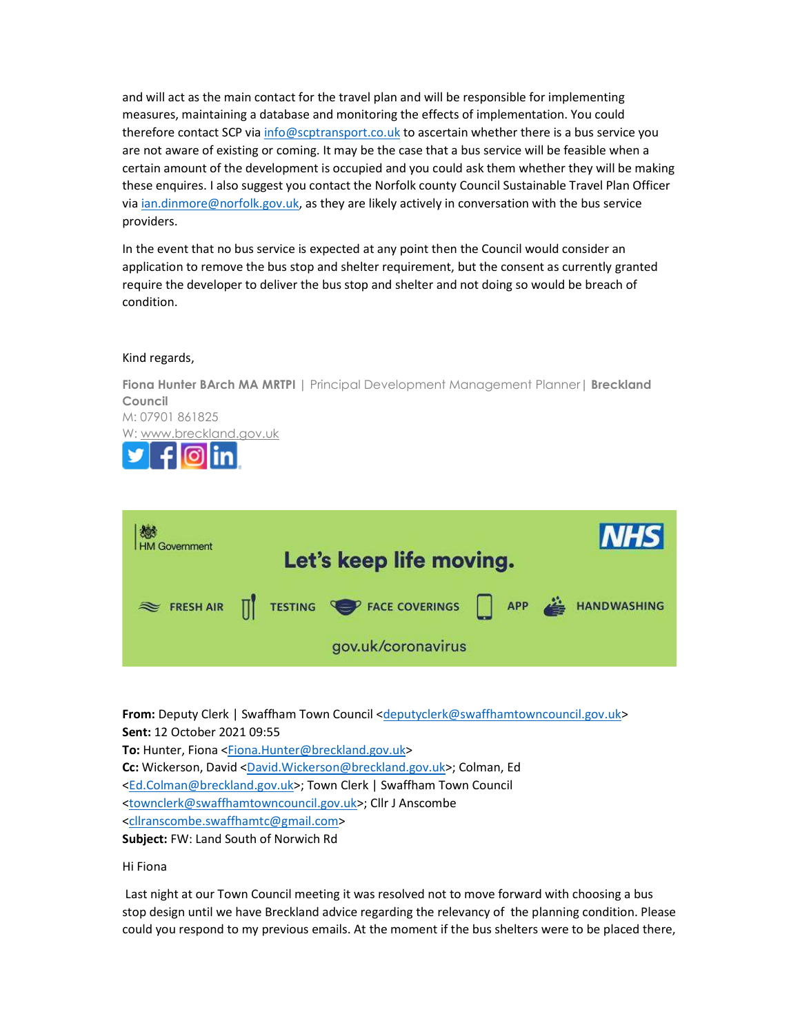and will act as the main contact for the travel plan and will be responsible for implementing measures, maintaining a database and monitoring the effects of implementation. You could therefore contact SCP via info@scptransport.co.uk to ascertain whether there is a bus service you are not aware of existing or coming. It may be the case that a bus service will be feasible when a certain amount of the development is occupied and you could ask them whether they will be making these enquires. I also suggest you contact the Norfolk county Council Sustainable Travel Plan Officer via ian.dinmore@norfolk.gov.uk, as they are likely actively in conversation with the bus service providers.

In the event that no bus service is expected at any point then the Council would consider an application to remove the bus stop and shelter requirement, but the consent as currently granted require the developer to deliver the bus stop and shelter and not doing so would be breach of condition.

## Kind regards,

J

Fiona Hunter BArch MA MRTPI | Principal Development Management Planner | Breckland Council M: 07901 861825 W: www.breckland.gov.uk



From: Deputy Clerk | Swaffham Town Council <deputyclerk@swaffhamtowncouncil.gov.uk> Sent: 12 October 2021 09:55 To: Hunter, Fiona <Fiona.Hunter@breckland.gov.uk> Cc: Wickerson, David <David.Wickerson@breckland.gov.uk>; Colman, Ed <Ed.Colman@breckland.gov.uk>; Town Clerk | Swaffham Town Council <townclerk@swaffhamtowncouncil.gov.uk>; Cllr J Anscombe <cllranscombe.swaffhamtc@gmail.com> Subject: FW: Land South of Norwich Rd

## Hi Fiona

 Last night at our Town Council meeting it was resolved not to move forward with choosing a bus stop design until we have Breckland advice regarding the relevancy of the planning condition. Please could you respond to my previous emails. At the moment if the bus shelters were to be placed there,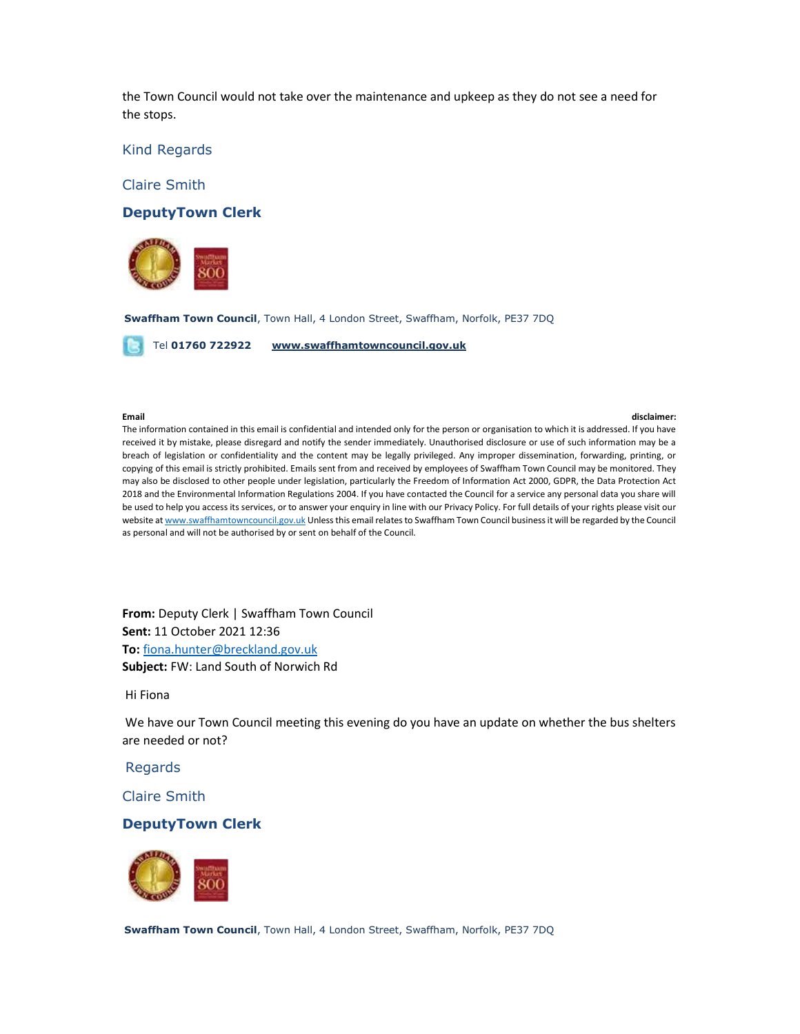the Town Council would not take over the maintenance and upkeep as they do not see a need for the stops.

Kind Regards

Claire Smith

## DeputyTown Clerk



Swaffham Town Council, Town Hall, 4 London Street, Swaffham, Norfolk, PE37 7DQ

Tel 01760 722922 www.swaffhamtowncouncil.gov.uk

### Email disclaimer:

The information contained in this email is confidential and intended only for the person or organisation to which it is addressed. If you have received it by mistake, please disregard and notify the sender immediately. Unauthorised disclosure or use of such information may be a breach of legislation or confidentiality and the content may be legally privileged. Any improper dissemination, forwarding, printing, or copying of this email is strictly prohibited. Emails sent from and received by employees of Swaffham Town Council may be monitored. They may also be disclosed to other people under legislation, particularly the Freedom of Information Act 2000, GDPR, the Data Protection Act 2018 and the Environmental Information Regulations 2004. If you have contacted the Council for a service any personal data you share will be used to help you access its services, or to answer your enquiry in line with our Privacy Policy. For full details of your rights please visit our website at www.swaffhamtowncouncil.gov.uk Unless this email relates to Swaffham Town Council business it will be regarded by the Council as personal and will not be authorised by or sent on behalf of the Council.

From: Deputy Clerk | Swaffham Town Council Sent: 11 October 2021 12:36 To: fiona.hunter@breckland.gov.uk Subject: FW: Land South of Norwich Rd

## Hi Fiona

 We have our Town Council meeting this evening do you have an update on whether the bus shelters are needed or not?

## Regards

Claire Smith

## DeputyTown Clerk



Swaffham Town Council, Town Hall, 4 London Street, Swaffham, Norfolk, PE37 7DQ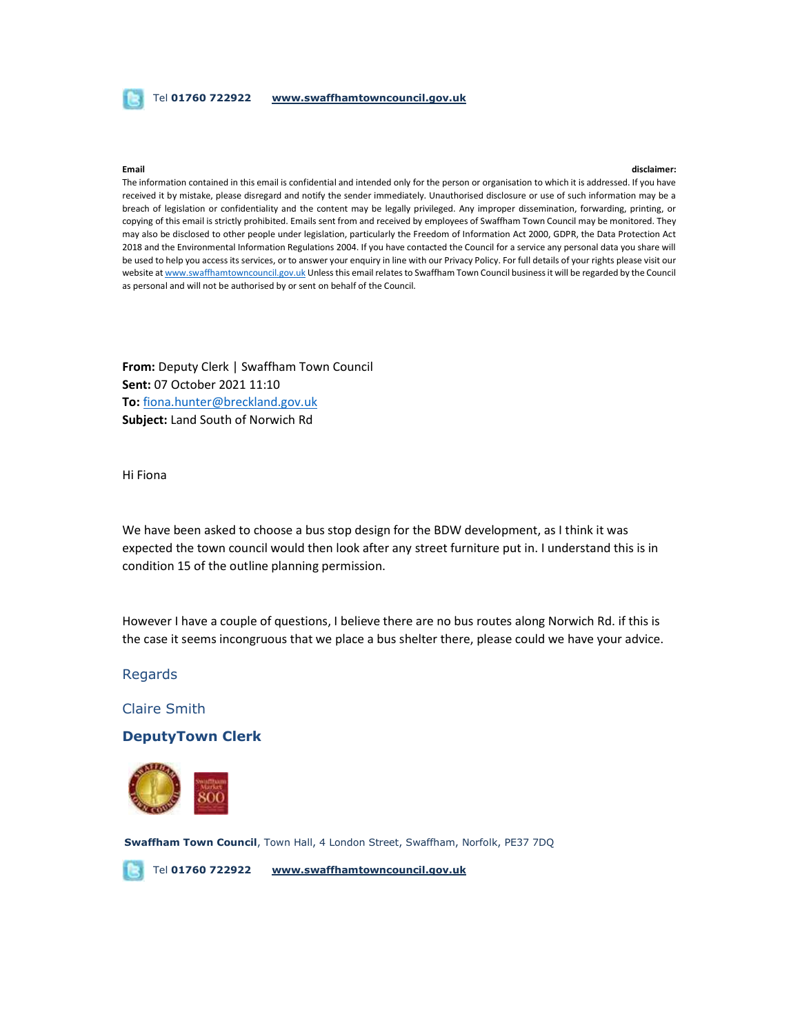## Tel 01760 722922 www.swaffhamtowncouncil.gov.uk

### Email disclaimer:

The information contained in this email is confidential and intended only for the person or organisation to which it is addressed. If you have received it by mistake, please disregard and notify the sender immediately. Unauthorised disclosure or use of such information may be a breach of legislation or confidentiality and the content may be legally privileged. Any improper dissemination, forwarding, printing, or copying of this email is strictly prohibited. Emails sent from and received by employees of Swaffham Town Council may be monitored. They may also be disclosed to other people under legislation, particularly the Freedom of Information Act 2000, GDPR, the Data Protection Act 2018 and the Environmental Information Regulations 2004. If you have contacted the Council for a service any personal data you share will be used to help you access its services, or to answer your enquiry in line with our Privacy Policy. For full details of your rights please visit our website at www.swaffhamtowncouncil.gov.uk Unless this email relates to Swaffham Town Council business it will be regarded by the Council as personal and will not be authorised by or sent on behalf of the Council.

From: Deputy Clerk | Swaffham Town Council Sent: 07 October 2021 11:10 To: fiona.hunter@breckland.gov.uk Subject: Land South of Norwich Rd

Hi Fiona

We have been asked to choose a bus stop design for the BDW development, as I think it was expected the town council would then look after any street furniture put in. I understand this is in condition 15 of the outline planning permission.

However I have a couple of questions, I believe there are no bus routes along Norwich Rd. if this is the case it seems incongruous that we place a bus shelter there, please could we have your advice.

## Regards

Claire Smith

## DeputyTown Clerk



Swaffham Town Council, Town Hall, 4 London Street, Swaffham, Norfolk, PE37 7DQ

Tel 01760 722922 www.swaffhamtowncouncil.gov.uk